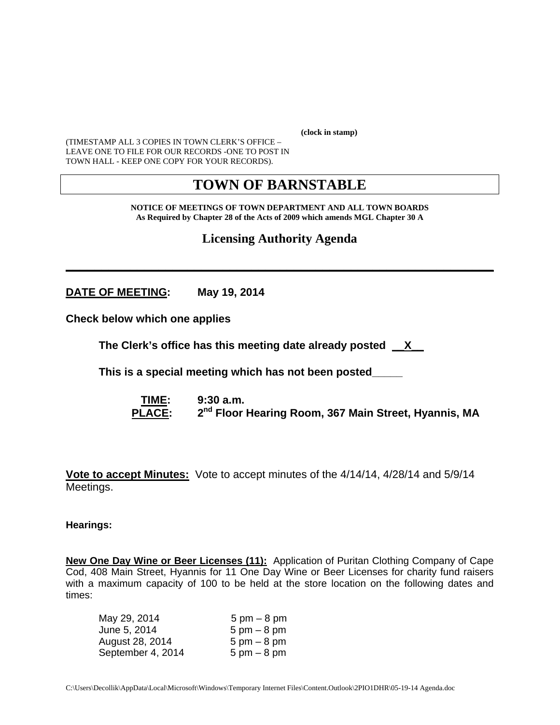**(clock in stamp)** 

(TIMESTAMP ALL 3 COPIES IN TOWN CLERK'S OFFICE – LEAVE ONE TO FILE FOR OUR RECORDS -ONE TO POST IN TOWN HALL - KEEP ONE COPY FOR YOUR RECORDS).

# **TOWN OF BARNSTABLE**

**NOTICE OF MEETINGS OF TOWN DEPARTMENT AND ALL TOWN BOARDS As Required by Chapter 28 of the Acts of 2009 which amends MGL Chapter 30 A** 

**Licensing Authority Agenda**

**\_\_\_\_\_\_\_\_\_\_\_\_\_\_\_\_\_\_\_\_\_\_\_\_\_\_\_\_\_\_\_\_\_\_\_\_\_\_\_\_\_\_\_\_\_\_\_\_\_\_\_\_\_\_\_\_\_\_\_\_** 

**DATE OF MEETING: May 19, 2014** 

**Check below which one applies** 

**The Clerk's office has this meeting date already posted \_\_X\_\_** 

 **This is a special meeting which has not been posted\_\_\_\_\_** 

 **TIME: 9:30 a.m.**  PLACE: 2<sup>nd</sup> Floor Hearing Room, 367 Main Street, Hyannis, MA

**Vote to accept Minutes:** Vote to accept minutes of the 4/14/14, 4/28/14 and 5/9/14 Meetings.

#### **Hearings:**

**New One Day Wine or Beer Licenses (11):** Application of Puritan Clothing Company of Cape Cod, 408 Main Street, Hyannis for 11 One Day Wine or Beer Licenses for charity fund raisers with a maximum capacity of 100 to be held at the store location on the following dates and times:

| May 29, 2014      | $5 \text{ pm} - 8 \text{ pm}$ |
|-------------------|-------------------------------|
| June 5, 2014      | $5 \text{ pm} - 8 \text{ pm}$ |
| August 28, 2014   | $5 \text{ pm} - 8 \text{ pm}$ |
| September 4, 2014 | $5 \text{ pm} - 8 \text{ pm}$ |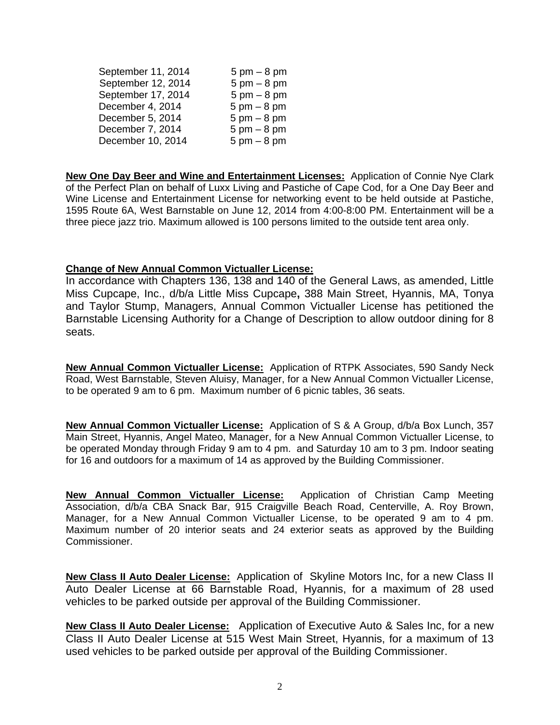| September 11, 2014 | $5 \text{ pm} - 8 \text{ pm}$ |
|--------------------|-------------------------------|
| September 12, 2014 | $5 \text{ pm} - 8 \text{ pm}$ |
| September 17, 2014 | $5 \text{ pm} - 8 \text{ pm}$ |
| December 4, 2014   | $5 \text{ pm} - 8 \text{ pm}$ |
| December 5, 2014   | $5 \text{ pm} - 8 \text{ pm}$ |
| December 7, 2014   | $5 \text{ pm} - 8 \text{ pm}$ |
| December 10, 2014  | $5 \text{ pm} - 8 \text{ pm}$ |

**New One Day Beer and Wine and Entertainment Licenses:** Application of Connie Nye Clark of the Perfect Plan on behalf of Luxx Living and Pastiche of Cape Cod, for a One Day Beer and Wine License and Entertainment License for networking event to be held outside at Pastiche, 1595 Route 6A, West Barnstable on June 12, 2014 from 4:00-8:00 PM. Entertainment will be a three piece jazz trio. Maximum allowed is 100 persons limited to the outside tent area only.

### **Change of New Annual Common Victualler License:**

In accordance with Chapters 136, 138 and 140 of the General Laws, as amended, Little Miss Cupcape, Inc., d/b/a Little Miss Cupcape**,** 388 Main Street, Hyannis, MA, Tonya and Taylor Stump, Managers, Annual Common Victualler License has petitioned the Barnstable Licensing Authority for a Change of Description to allow outdoor dining for 8 seats.

**New Annual Common Victualler License:** Application of RTPK Associates, 590 Sandy Neck Road, West Barnstable, Steven Aluisy, Manager, for a New Annual Common Victualler License, to be operated 9 am to 6 pm. Maximum number of 6 picnic tables, 36 seats.

**New Annual Common Victualler License:** Application of S & A Group, d/b/a Box Lunch, 357 Main Street, Hyannis, Angel Mateo, Manager, for a New Annual Common Victualler License, to be operated Monday through Friday 9 am to 4 pm. and Saturday 10 am to 3 pm. Indoor seating for 16 and outdoors for a maximum of 14 as approved by the Building Commissioner.

**New Annual Common Victualler License:** Application of Christian Camp Meeting Association, d/b/a CBA Snack Bar, 915 Craigville Beach Road, Centerville, A. Roy Brown, Manager, for a New Annual Common Victualler License, to be operated 9 am to 4 pm. Maximum number of 20 interior seats and 24 exterior seats as approved by the Building Commissioner.

**New Class II Auto Dealer License:** Application of Skyline Motors Inc, for a new Class II Auto Dealer License at 66 Barnstable Road, Hyannis, for a maximum of 28 used vehicles to be parked outside per approval of the Building Commissioner.

**New Class II Auto Dealer License:** Application of Executive Auto & Sales Inc, for a new Class II Auto Dealer License at 515 West Main Street, Hyannis, for a maximum of 13 used vehicles to be parked outside per approval of the Building Commissioner.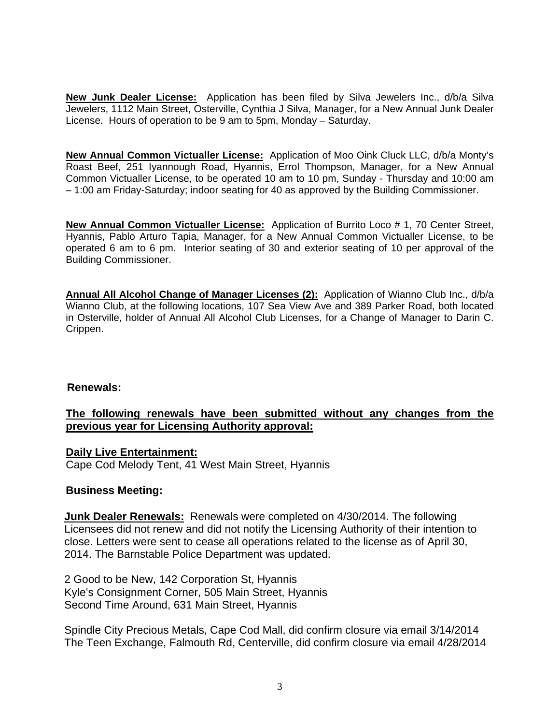**New Junk Dealer License:** Application has been filed by Silva Jewelers Inc., d/b/a Silva Jewelers, 1112 Main Street, Osterville, Cynthia J Silva, Manager, for a New Annual Junk Dealer License. Hours of operation to be 9 am to 5pm, Monday – Saturday.

**New Annual Common Victualler License:** Application of Moo Oink Cluck LLC, d/b/a Monty's Roast Beef, 251 Iyannough Road, Hyannis, Errol Thompson, Manager, for a New Annual Common Victualler License, to be operated 10 am to 10 pm, Sunday - Thursday and 10:00 am – 1:00 am Friday-Saturday; indoor seating for 40 as approved by the Building Commissioner.

**New Annual Common Victualler License:** Application of Burrito Loco # 1, 70 Center Street, Hyannis, Pablo Arturo Tapia, Manager, for a New Annual Common Victualler License, to be operated 6 am to 6 pm. Interior seating of 30 and exterior seating of 10 per approval of the Building Commissioner.

**Annual All Alcohol Change of Manager Licenses (2):** Application of Wianno Club Inc., d/b/a Wianno Club, at the following locations, 107 Sea View Ave and 389 Parker Road, both located in Osterville, holder of Annual All Alcohol Club Licenses, for a Change of Manager to Darin C. Crippen.

# **Renewals:**

# **The following renewals have been submitted without any changes from the previous year for Licensing Authority approval:**

**Daily Live Entertainment:**  Cape Cod Melody Tent, 41 West Main Street, Hyannis

## **Business Meeting:**

 **Junk Dealer Renewals:** Renewals were completed on 4/30/2014. The following Licensees did not renew and did not notify the Licensing Authority of their intention to close. Letters were sent to cease all operations related to the license as of April 30, 2014. The Barnstable Police Department was updated.

 2 Good to be New, 142 Corporation St, Hyannis Kyle's Consignment Corner, 505 Main Street, Hyannis Second Time Around, 631 Main Street, Hyannis

 Spindle City Precious Metals, Cape Cod Mall, did confirm closure via email 3/14/2014 The Teen Exchange, Falmouth Rd, Centerville, did confirm closure via email 4/28/2014